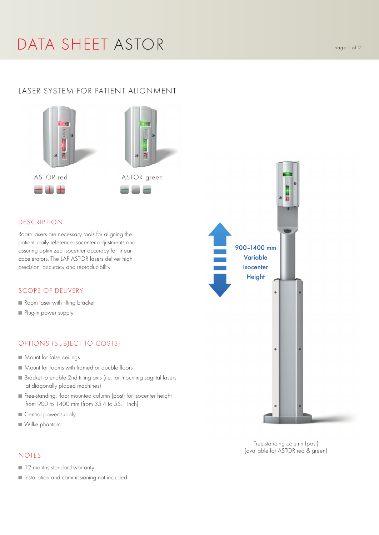# DATA SHEET ASTOR Page 1 of 2

# LASER SYSTEM FOR PATIENT ALIGNMENT



### DESCRIPTION

Room lasers are necessary tools for aligning the patient, daily reference isocenter adjustments and assuring optimized isocenter accuracy for linear accelerators. The LAP ASTOR lasers deliver high precision, accuracy and reproducibility.

#### SCOPE OF DELIVERY

- Room laser with tilting bracket
- Plug-in power supply

## OPTIONS (SUBJECT TO COSTS)

- Mount for false ceilings
- Mount for rooms with framed or double floors
- Bracket to enable 2nd tilting axis (i.e. for mounting sagittal lasers at diagonally placed machines)
- Free-standing, floor mounted column (post) for isocenter height from 900 to 1400 mm (from 35.4 to 55.1 inch)
- Central power supply
- Wilke phantom

### NOTES

- 12 months standard warranty
- Installation and commissioning not included



Free-standing column (post) (available for ASTOR red & green)